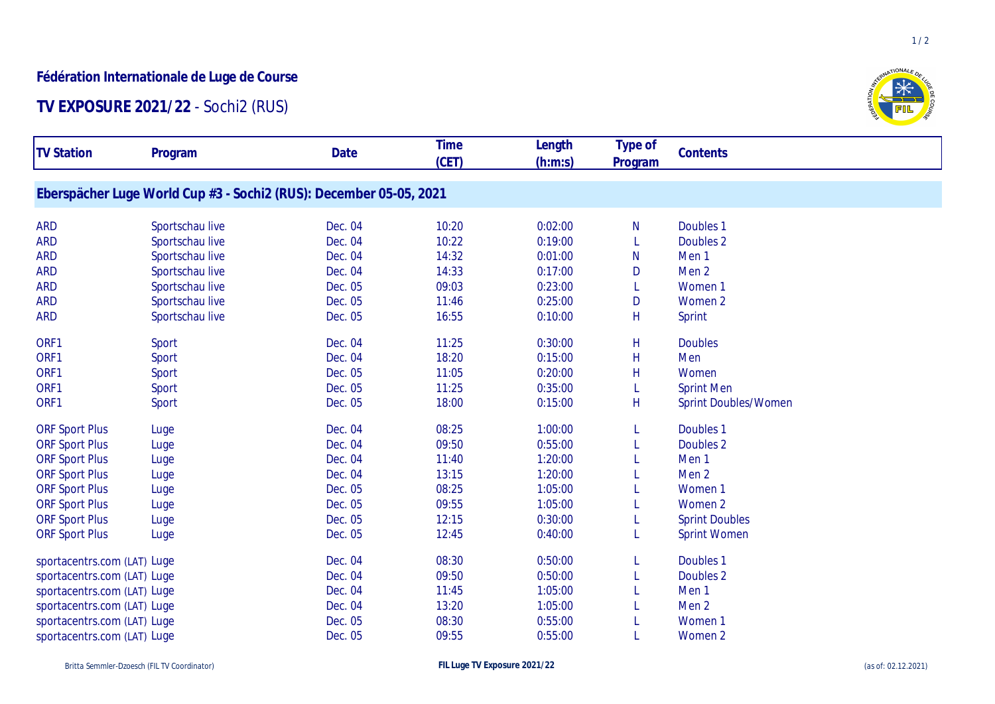## **Fédération Internationale de Luge de Course**

## **TV EXPOSURE 2021/22** - Sochi2 (RUS)

| <b>TV Station</b>           | Program                                                            | Date    | <b>Time</b><br>(CET) | Length<br>(h:m:s) | Type of      | Contents                    |
|-----------------------------|--------------------------------------------------------------------|---------|----------------------|-------------------|--------------|-----------------------------|
|                             |                                                                    |         |                      |                   | Program      |                             |
|                             | Eberspächer Luge World Cup #3 - Sochi2 (RUS): December 05-05, 2021 |         |                      |                   |              |                             |
| <b>ARD</b>                  | Sportschau live                                                    | Dec. 04 | 10:20                | 0:02:00           | N            | Doubles 1                   |
| <b>ARD</b>                  | Sportschau live                                                    | Dec. 04 | 10:22                | 0:19:00           | L            | Doubles <sub>2</sub>        |
| <b>ARD</b>                  | Sportschau live                                                    | Dec. 04 | 14:32                | 0:01:00           | N            | Men <sub>1</sub>            |
| <b>ARD</b>                  | Sportschau live                                                    | Dec. 04 | 14:33                | 0:17:00           | D            | Men <sub>2</sub>            |
| <b>ARD</b>                  | Sportschau live                                                    | Dec. 05 | 09:03                | 0:23:00           |              | Women 1                     |
| <b>ARD</b>                  | Sportschau live                                                    | Dec. 05 | 11:46                | 0:25:00           | D            | Women 2                     |
| <b>ARD</b>                  | Sportschau live                                                    | Dec. 05 | 16:55                | 0:10:00           | H            | Sprint                      |
| ORF1                        | Sport                                                              | Dec. 04 | 11:25                | 0:30:00           | $\mathsf{H}$ | <b>Doubles</b>              |
| ORF1                        | Sport                                                              | Dec. 04 | 18:20                | 0:15:00           | H            | Men                         |
| ORF1                        | Sport                                                              | Dec. 05 | 11:05                | 0:20:00           | H            | Women                       |
| ORF1                        | Sport                                                              | Dec. 05 | 11:25                | 0:35:00           |              | <b>Sprint Men</b>           |
| ORF1                        | Sport                                                              | Dec. 05 | 18:00                | 0:15:00           | H            | <b>Sprint Doubles/Women</b> |
| <b>ORF Sport Plus</b>       | Luge                                                               | Dec. 04 | 08:25                | 1:00:00           |              | Doubles <sub>1</sub>        |
| <b>ORF Sport Plus</b>       | Luge                                                               | Dec. 04 | 09:50                | 0:55:00           |              | Doubles 2                   |
| <b>ORF Sport Plus</b>       | Luge                                                               | Dec. 04 | 11:40                | 1:20:00           |              | Men <sub>1</sub>            |
| <b>ORF Sport Plus</b>       | Luge                                                               | Dec. 04 | 13:15                | 1:20:00           |              | Men <sub>2</sub>            |
| <b>ORF Sport Plus</b>       | Luge                                                               | Dec. 05 | 08:25                | 1:05:00           |              | Women 1                     |
| <b>ORF Sport Plus</b>       | Luge                                                               | Dec. 05 | 09:55                | 1:05:00           |              | Women 2                     |
| <b>ORF Sport Plus</b>       | Luge                                                               | Dec. 05 | 12:15                | 0:30:00           |              | <b>Sprint Doubles</b>       |
| <b>ORF Sport Plus</b>       | Luge                                                               | Dec. 05 | 12:45                | 0:40:00           |              | <b>Sprint Women</b>         |
| sportacentrs.com (LAT) Luge |                                                                    | Dec. 04 | 08:30                | 0:50:00           | L            | Doubles 1                   |
| sportacentrs.com (LAT) Luge |                                                                    | Dec. 04 | 09:50                | 0:50:00           |              | Doubles 2                   |
| sportacentrs.com (LAT) Luge |                                                                    | Dec. 04 | 11:45                | 1:05:00           |              | Men <sub>1</sub>            |
| sportacentrs.com (LAT) Luge |                                                                    | Dec. 04 | 13:20                | 1:05:00           |              | Men <sub>2</sub>            |
| sportacentrs.com (LAT) Luge |                                                                    | Dec. 05 | 08:30                | 0:55:00           |              | Women 1                     |
| sportacentrs.com (LAT) Luge |                                                                    | Dec. 05 | 09:55                | 0:55:00           |              | Women 2                     |
|                             |                                                                    |         |                      |                   |              |                             |



 $1/2$